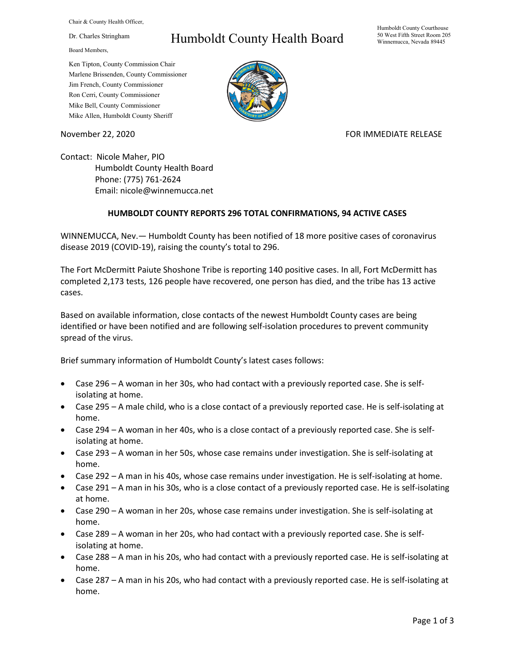Chair & County Health Officer,

Dr. Charles Stringham

Board Members,

## Humboldt County Health Board

Humboldt County Courthouse 50 West Fifth Street Room 205 Winnemucca, Nevada 89445

Ken Tipton, County Commission Chair Marlene Brissenden, County Commissioner Jim French, County Commissioner Ron Cerri, County Commissioner Mike Bell, County Commissioner Mike Allen, Humboldt County Sheriff

November 22, 2020 **FOR IMMEDIATE RELEASE** 

Contact: Nicole Maher, PIO Humboldt County Health Board Phone: (775) 761-2624 Email: nicole@winnemucca.net

## **HUMBOLDT COUNTY REPORTS 296 TOTAL CONFIRMATIONS, 94 ACTIVE CASES**

WINNEMUCCA, Nev.— Humboldt County has been notified of 18 more positive cases of coronavirus disease 2019 (COVID-19), raising the county's total to 296.

The Fort McDermitt Paiute Shoshone Tribe is reporting 140 positive cases. In all, Fort McDermitt has completed 2,173 tests, 126 people have recovered, one person has died, and the tribe has 13 active cases.

Based on available information, close contacts of the newest Humboldt County cases are being identified or have been notified and are following self-isolation procedures to prevent community spread of the virus.

Brief summary information of Humboldt County's latest cases follows:

- Case 296 A woman in her 30s, who had contact with a previously reported case. She is selfisolating at home.
- Case 295 A male child, who is a close contact of a previously reported case. He is self-isolating at home.
- Case 294 A woman in her 40s, who is a close contact of a previously reported case. She is selfisolating at home.
- Case 293 A woman in her 50s, whose case remains under investigation. She is self-isolating at home.
- Case 292 A man in his 40s, whose case remains under investigation. He is self-isolating at home.
- Case 291 A man in his 30s, who is a close contact of a previously reported case. He is self-isolating at home.
- Case 290 A woman in her 20s, whose case remains under investigation. She is self-isolating at home.
- Case 289 A woman in her 20s, who had contact with a previously reported case. She is selfisolating at home.
- Case 288 A man in his 20s, who had contact with a previously reported case. He is self-isolating at home.
- Case 287 A man in his 20s, who had contact with a previously reported case. He is self-isolating at home.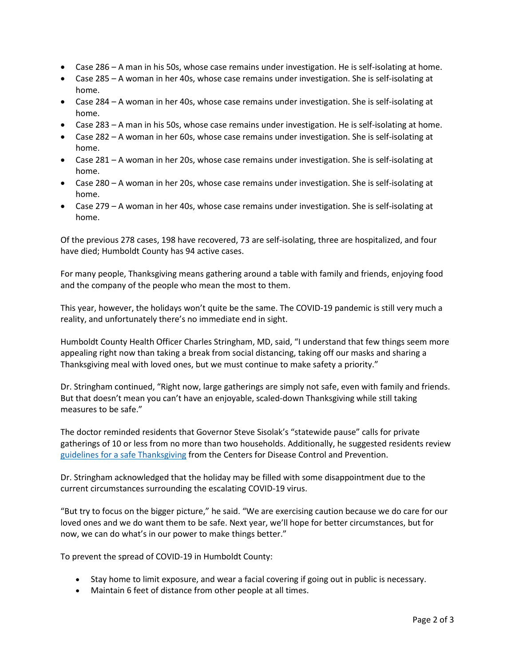- Case 286 A man in his 50s, whose case remains under investigation. He is self-isolating at home.
- Case 285 A woman in her 40s, whose case remains under investigation. She is self-isolating at home.
- Case 284 A woman in her 40s, whose case remains under investigation. She is self-isolating at home.
- Case 283 A man in his 50s, whose case remains under investigation. He is self-isolating at home.
- Case 282 A woman in her 60s, whose case remains under investigation. She is self-isolating at home.
- Case 281 A woman in her 20s, whose case remains under investigation. She is self-isolating at home.
- Case 280 A woman in her 20s, whose case remains under investigation. She is self-isolating at home.
- Case 279 A woman in her 40s, whose case remains under investigation. She is self-isolating at home.

Of the previous 278 cases, 198 have recovered, 73 are self-isolating, three are hospitalized, and four have died; Humboldt County has 94 active cases.

For many people, Thanksgiving means gathering around a table with family and friends, enjoying food and the company of the people who mean the most to them.

This year, however, the holidays won't quite be the same. The COVID-19 pandemic is still very much a reality, and unfortunately there's no immediate end in sight.

Humboldt County Health Officer Charles Stringham, MD, said, "I understand that few things seem more appealing right now than taking a break from social distancing, taking off our masks and sharing a Thanksgiving meal with loved ones, but we must continue to make safety a priority."

Dr. Stringham continued, "Right now, large gatherings are simply not safe, even with family and friends. But that doesn't mean you can't have an enjoyable, scaled-down Thanksgiving while still taking measures to be safe."

The doctor reminded residents that Governor Steve Sisolak's "statewide pause" calls for private gatherings of 10 or less from no more than two households. Additionally, he suggested residents review [guidelines for a safe Thanksgiving](https://www.cdc.gov/coronavirus/2019-ncov/daily-life-coping/holidays/thanksgiving.html) from the Centers for Disease Control and Prevention.

Dr. Stringham acknowledged that the holiday may be filled with some disappointment due to the current circumstances surrounding the escalating COVID-19 virus.

"But try to focus on the bigger picture," he said. "We are exercising caution because we do care for our loved ones and we do want them to be safe. Next year, we'll hope for better circumstances, but for now, we can do what's in our power to make things better."

To prevent the spread of COVID-19 in Humboldt County:

- Stay home to limit exposure, and wear a facial covering if going out in public is necessary.
- Maintain 6 feet of distance from other people at all times.